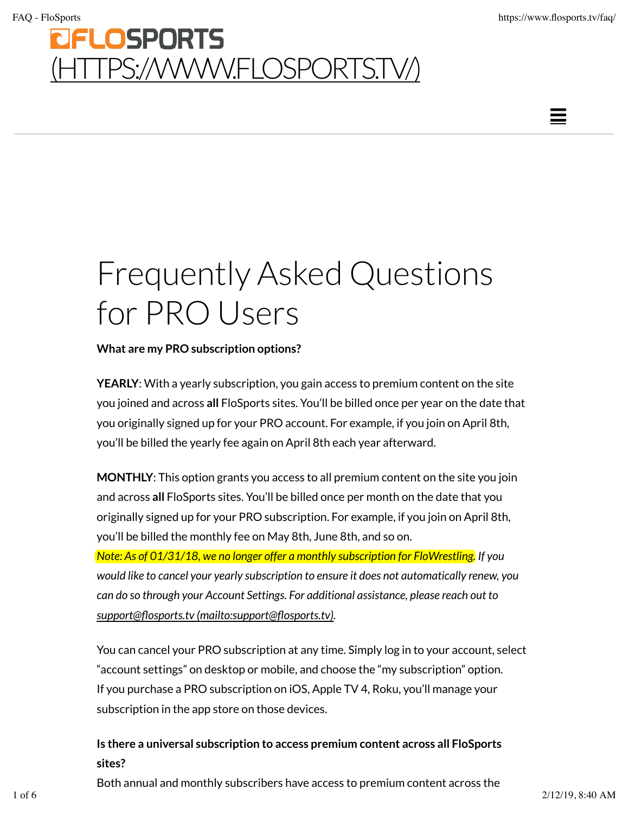



# Frequently Asked Questions for PRO Users

#### **What are my PRO subscription options?**

**YEARLY**: With a yearly subscription, you gain access to premium content on the site you joined and across **all** FloSports sites. You'll be billed once per year on the date that you originally signed up for your PRO account. For example, if you join on April 8th, you'll be billed the yearly fee again on April 8th each year afterward.

**MONTHLY**: This option grants you access to all premium content on the site you join and across **all** FloSports sites. You'll be billed once per month on the date that you originally signed up for your PRO subscription. For example, if you join on April 8th, you'll be billed the monthly fee on May 8th, June 8th, and so on.

*Note: As of 01/31/18, we no longer offer a monthly subscription for FloWrestling. If you would like to cancel your yearly subscription to ensure it does not automatically renew, you can do so through your Account Settings. For additional assistance, please reach out to support@flosports.tv (mailto:support@flosports.tv).*

You can cancel your PRO subscription at any time. Simply log in to your account, select "account settings" on desktop or mobile, and choose the "my subscription" option. If you purchase a PRO subscription on iOS, Apple TV 4, Roku, you'll manage your subscription in the app store on those devices.

### **Is there a universal subscription to access premium content across all FloSports sites?**

Both annual and monthly subscribers have access to premium content across the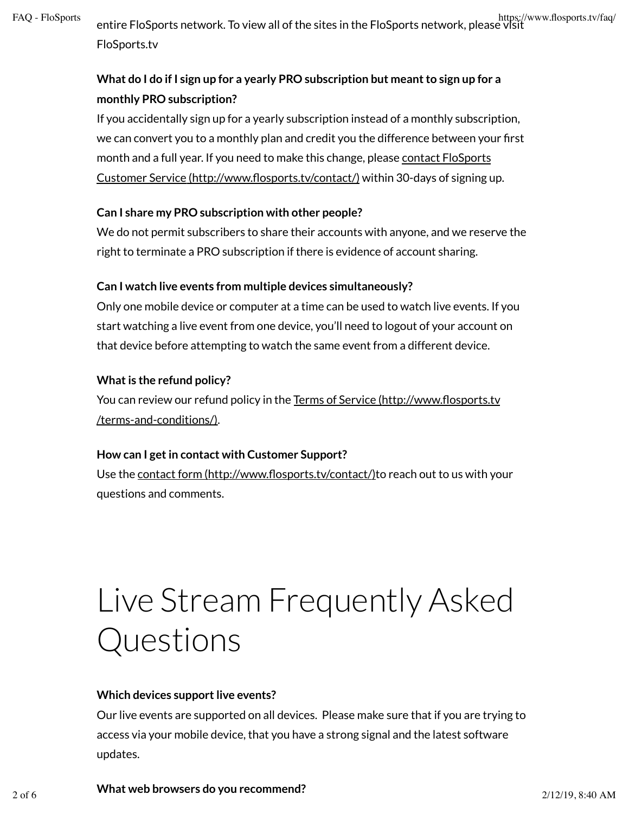entire FloSports network. To view all of the sites in the FloSports network, please visit FAQ - FloSports https://www.flosports.tv/faq/ FloSports.tv

### **What do I do if I sign up for a yearly PRO subscription but meant to sign up for a monthly PRO subscription?**

If you accidentally sign up for a yearly subscription instead of a monthly subscription, we can convert you to a monthly plan and credit you the difference between your first month and a full year. If you need to make this change, please contact FloSports Customer Service (http://www.flosports.tv/contact/) within 30-days of signing up.

#### **Can I share my PRO subscription with other people?**

We do not permit subscribers to share their accounts with anyone, and we reserve the right to terminate a PRO subscription if there is evidence of account sharing.

#### **Can I watch live events from multiple devices simultaneously?**

Only one mobile device or computer at a time can be used to watch live events. If you start watching a live event from one device, you'll need to logout of your account on that device before attempting to watch the same event from a different device.

#### **What is the refund policy?**

You can review our refund policy in the Terms of Service (http://www.flosports.ty /terms-and-conditions/).

#### **How can I get in contact with Customer Support?**

Use the contact form (http://www.flosports.tv/contact/) to reach out to us with your questions and comments.

# Live Stream Frequently Asked Questions

#### **Which devices support live events?**

Our live events are supported on all devices. Please make sure that if you are trying to access via your mobile device, that you have a strong signal and the latest software updates.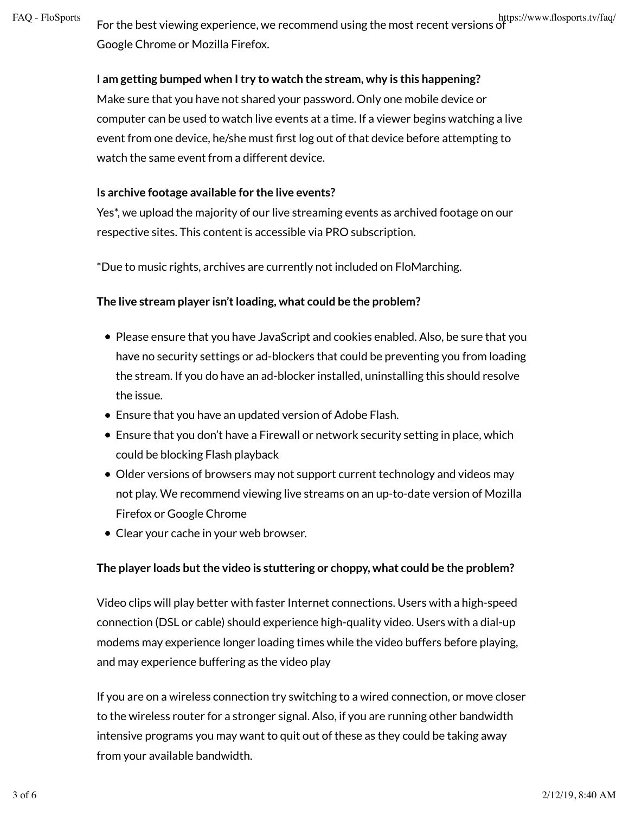For the best viewing experience, we recommend using the most recent versions of FAQ - FloSports https://www.flosports.tv/faq/ Google Chrome or Mozilla Firefox.

#### **I am getting bumped when I try to watch the stream, why is this happening?**

Make sure that you have not shared your password. Only one mobile device or computer can be used to watch live events at a time. If a viewer begins watching a live event from one device, he/she must first log out of that device before attempting to watch the same event from a different device.

#### **Is archive footage available for the live events?**

Yes\*, we upload the majority of our live streaming events as archived footage on our respective sites. This content is accessible via PRO subscription.

\*Due to music rights, archives are currently not included on FloMarching.

#### **The live stream player isn't loading, what could be the problem?**

- Please ensure that you have JavaScript and cookies enabled. Also, be sure that you have no security settings or ad-blockers that could be preventing you from loading the stream. If you do have an ad-blocker installed, uninstalling this should resolve the issue.
- Ensure that you have an updated version of Adobe Flash.
- Ensure that you don't have a Firewall or network security setting in place, which could be blocking Flash playback
- Older versions of browsers may not support current technology and videos may not play. We recommend viewing live streams on an up-to-date version of Mozilla Firefox or Google Chrome
- Clear your cache in your web browser.

#### **The player loads but the video is stuttering or choppy, what could be the problem?**

Video clips will play better with faster Internet connections. Users with a high-speed connection (DSL or cable) should experience high-quality video. Users with a dial-up modems may experience longer loading times while the video buffers before playing, and may experience buffering as the video play

If you are on a wireless connection try switching to a wired connection, or move closer to the wireless router for a stronger signal. Also, if you are running other bandwidth intensive programs you may want to quit out of these as they could be taking away from your available bandwidth.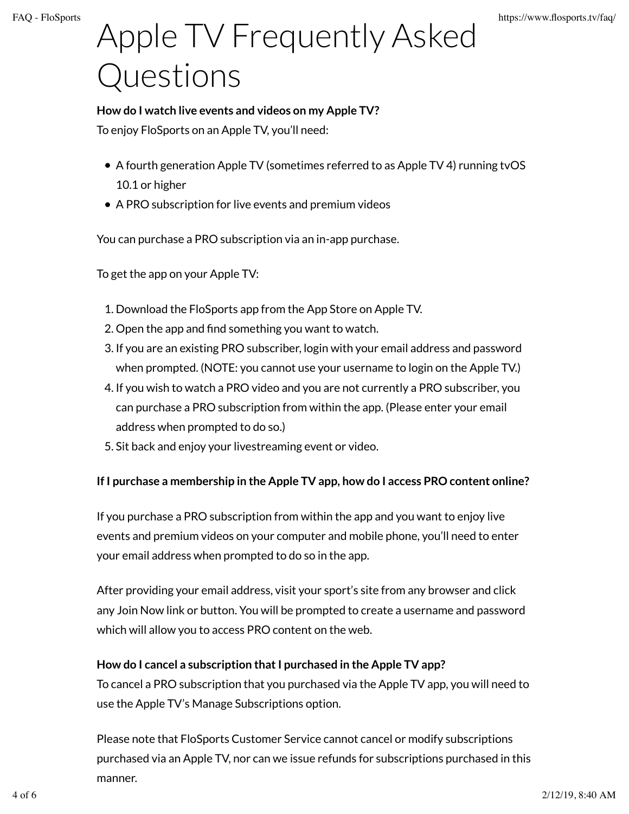### Apple TV Frequently Asked Questions FAQ - FloSports https://www.flosports.tv/faq/

#### **How do I watch live events and videos on my Apple TV?**

To enjoy FloSports on an Apple TV, you'll need:

- A fourth generation Apple TV (sometimes referred to as Apple TV 4) running tvOS 10.1 or higher
- A PRO subscription for live events and premium videos

You can purchase a PRO subscription via an in-app purchase.

To get the app on your Apple TV:

- 1. Download the FloSports app from the App Store on Apple TV.
- 2. Open the app and find something you want to watch.
- 3. If you are an existing PRO subscriber, login with your email address and password when prompted. (NOTE: you cannot use your username to login on the Apple TV.)
- 4. If you wish to watch a PRO video and you are not currently a PRO subscriber, you can purchase a PRO subscription from within the app. (Please enter your email address when prompted to do so.)
- 5. Sit back and enjoy your livestreaming event or video.

#### **If I purchase a membership in the Apple TV app, how do I access PRO content online?**

If you purchase a PRO subscription from within the app and you want to enjoy live events and premium videos on your computer and mobile phone, you'll need to enter your email address when prompted to do so in the app.

After providing your email address, visit your sport's site from any browser and click any Join Now link or button. You will be prompted to create a username and password which will allow you to access PRO content on the web.

#### **How do I cancel a subscription that I purchased in the Apple TV app?**

To cancel a PRO subscription that you purchased via the Apple TV app, you will need to use the Apple TV's Manage Subscriptions option.

Please note that FloSports Customer Service cannot cancel or modify subscriptions purchased via an Apple TV, nor can we issue refunds for subscriptions purchased in this manner.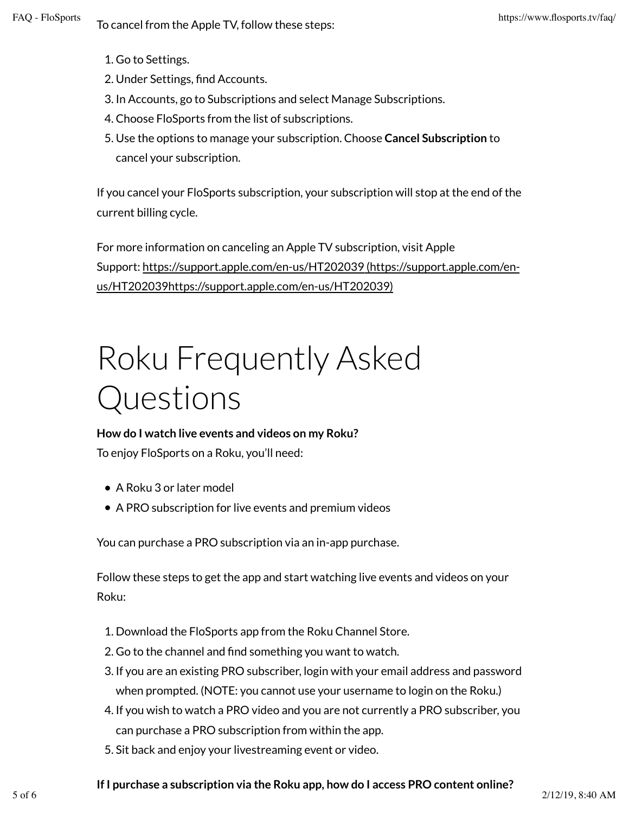- 1. Go to Settings.
- 2. Under Settings, find Accounts.
- 3. In Accounts, go to Subscriptions and select Manage Subscriptions.
- 4. Choose FloSports from the list of subscriptions.
- 5. Use the options to manage your subscription. Choose **Cancel Subscription** to cancel your subscription.

If you cancel your FloSports subscription, your subscription will stop at the end of the current billing cycle.

For more information on canceling an Apple TV subscription, visit Apple Support: https://support.apple.com/en-us/HT202039 (https://support.apple.com/enus/HT202039https://support.apple.com/en-us/HT202039)

# Roku Frequently Asked Questions

#### **How do I watch live events and videos on my Roku?**

To enjoy FloSports on a Roku, you'll need:

- A Roku 3 or later model
- A PRO subscription for live events and premium videos

You can purchase a PRO subscription via an in-app purchase.

Follow these steps to get the app and start watching live events and videos on your Roku:

- 1. Download the FloSports app from the Roku Channel Store.
- 2. Go to the channel and find something you want to watch.
- 3. If you are an existing PRO subscriber, login with your email address and password when prompted. (NOTE: you cannot use your username to login on the Roku.)
- 4. If you wish to watch a PRO video and you are not currently a PRO subscriber, you can purchase a PRO subscription from within the app.
- 5. Sit back and enjoy your livestreaming event or video.